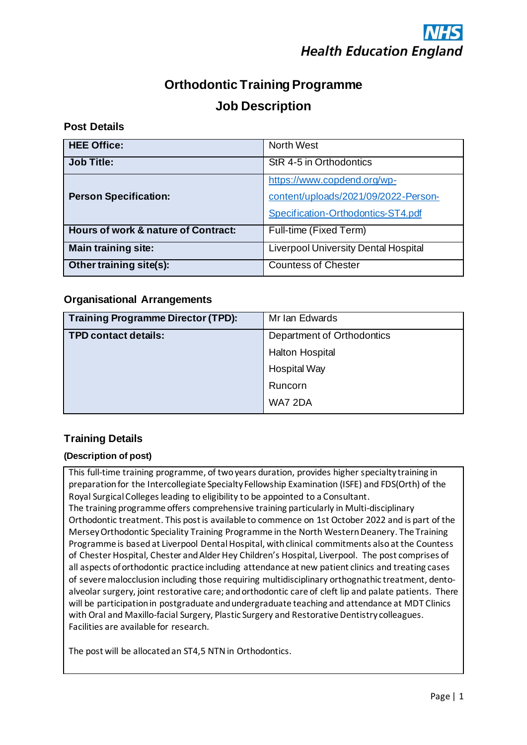# **Orthodontic Training Programme Job Description**

# **Post Details**

| <b>HEE Office:</b>                             | <b>North West</b>                           |  |
|------------------------------------------------|---------------------------------------------|--|
| <b>Job Title:</b>                              | StR 4-5 in Orthodontics                     |  |
|                                                | https://www.copdend.org/wp-                 |  |
| <b>Person Specification:</b>                   | content/uploads/2021/09/2022-Person-        |  |
|                                                | Specification-Orthodontics-ST4.pdf          |  |
| <b>Hours of work &amp; nature of Contract:</b> | Full-time (Fixed Term)                      |  |
| <b>Main training site:</b>                     | <b>Liverpool University Dental Hospital</b> |  |
| Other training site(s):                        | <b>Countess of Chester</b>                  |  |

# **Organisational Arrangements**

| <b>Training Programme Director (TPD):</b> | Mr Ian Edwards             |  |
|-------------------------------------------|----------------------------|--|
| <b>TPD contact details:</b>               | Department of Orthodontics |  |
|                                           | Halton Hospital            |  |
|                                           | <b>Hospital Way</b>        |  |
|                                           | Runcorn                    |  |
|                                           | WA7 2DA                    |  |

# **Training Details**

## **(Description of post)**

This full-time training programme, of two years duration, provides higher specialty training in preparation for the Intercollegiate Specialty Fellowship Examination (ISFE) and FDS(Orth) of the Royal Surgical Colleges leading to eligibility to be appointed to a Consultant. The training programme offers comprehensive training particularly in Multi-disciplinary Orthodontic treatment. This post is available to commence on 1st October 2022 and is part of the MerseyOrthodontic Speciality Training Programme in the North Western Deanery. The Training Programme is based at Liverpool Dental Hospital, with clinical commitments also at the Countess of Chester Hospital, Chester and Alder Hey Children's Hospital, Liverpool. The post comprises of all aspects of orthodontic practice including attendance at new patient clinics and treating cases of severe malocclusion including those requiring multidisciplinary orthognathic treatment, dentoalveolar surgery, joint restorative care; and orthodontic care of cleft lip and palate patients. There will be participation in postgraduate and undergraduate teaching and attendance at MDT Clinics with Oral and Maxillo-facial Surgery, Plastic Surgery and Restorative Dentistry colleagues. Facilities are available for research.

The post will be allocated an ST4,5 NTN in Orthodontics.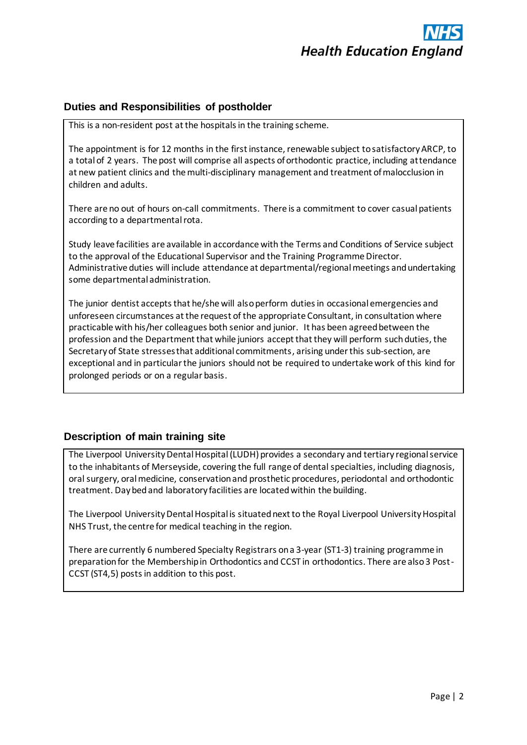

#### **Duties and Responsibilities of postholder**

This is a non-resident post at the hospitals in the training scheme.

The appointment is for 12 months in the first instance, renewable subject to satisfactory ARCP, to a total of 2 years. The post will comprise all aspects of orthodontic practice, including attendance at new patient clinics and the multi-disciplinary management and treatment of malocclusion in children and adults.

There are no out of hours on-call commitments. There is a commitment to cover casual patients according to a departmental rota.

Study leave facilities are available in accordance with the Terms and Conditions of Service subject to the approval of the Educational Supervisor and the Training Programme Director. Administrative duties will include attendance at departmental/regional meetings and undertaking some departmental administration.

The junior dentist accepts that he/she will also perform duties in occasional emergencies and unforeseen circumstances at the request of the appropriate Consultant, in consultation where practicable with his/her colleagues both senior and junior. It has been agreed between the profession and the Department that while juniors accept that they will perform such duties, the Secretary of State stresses that additional commitments, arising under this sub-section, are exceptional and in particular the juniors should not be required to undertake work of this kind for prolonged periods or on a regular basis.

## **Description of main training site**

The Liverpool University Dental Hospital(LUDH) provides a secondary and tertiary regional service to the inhabitants of Merseyside, covering the full range of dental specialties, including diagnosis, oral surgery, oral medicine, conservation and prosthetic procedures, periodontal and orthodontic treatment. Day bed and laboratory facilities are located within the building.

The Liverpool University Dental Hospital is situated next to the Royal Liverpool University Hospital NHS Trust, the centre for medical teaching in the region.

There are currently 6 numbered Specialty Registrars on a 3-year (ST1-3) training programme in preparation for the Membership in Orthodontics and CCST in orthodontics. There are also 3 Post-CCST (ST4,5) posts in addition to this post.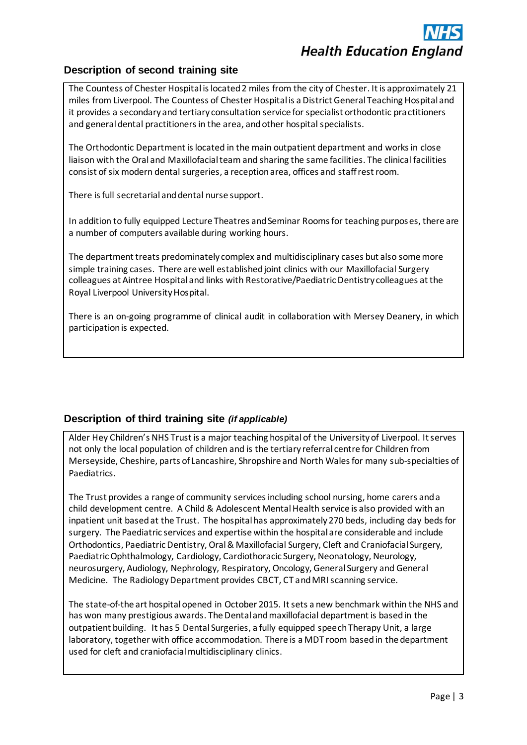# **Description of second training site**

The Countess of Chester Hospital is located 2 miles from the city of Chester. It is approximately 21 miles from Liverpool. The Countess of Chester Hospital is a District General Teaching Hospital and it provides a secondary and tertiary consultation service for specialist orthodontic practitioners and general dental practitioners in the area, and other hospital specialists.

The Orthodontic Department is located in the main outpatient department and works in close liaison with the Oral and Maxillofacial team and sharing the same facilities. The clinical facilities consist of six modern dental surgeries, a reception area, offices and staff rest room.

There is full secretarial and dental nurse support.

In addition to fully equipped Lecture Theatres and Seminar Rooms for teaching purposes, there are a number of computers available during working hours.

The department treats predominately complex and multidisciplinary cases but also some more simple training cases. There are well established joint clinics with our Maxillofacial Surgery colleagues at Aintree Hospital and links with Restorative/Paediatric Dentistry colleagues at the Royal Liverpool University Hospital.

There is an on-going programme of clinical audit in collaboration with Mersey Deanery, in which participation is expected.

# **Description of third training site** *(if applicable)*

Alder Hey Children's NHS Trust is a major teaching hospital of the University of Liverpool. It serves not only the local population of children and is the tertiary referral centre for Children from Merseyside, Cheshire, parts of Lancashire, Shropshire and North Wales for many sub-specialties of Paediatrics.

The Trust provides a range of community services including school nursing, home carers and a child development centre. A Child & Adolescent Mental Health service is also provided with an inpatient unit based at the Trust. The hospital has approximately 270 beds, including day beds for surgery. The Paediatric services and expertise within the hospital are considerable and include Orthodontics, Paediatric Dentistry, Oral & Maxillofacial Surgery, Cleft and Craniofacial Surgery, Paediatric Ophthalmology, Cardiology, Cardiothoracic Surgery, Neonatology, Neurology, neurosurgery, Audiology, Nephrology, Respiratory, Oncology, General Surgery and General Medicine. The Radiology Department provides CBCT, CT and MRI scanning service.

The state-of-the art hospital opened in October 2015. It sets a new benchmark within the NHS and has won many prestigious awards. The Dental and maxillofacial department is based in the outpatient building. It has 5 Dental Surgeries, a fully equipped speech Therapy Unit, a large laboratory, together with office accommodation. There is a MDT room based in the department used for cleft and craniofacial multidisciplinary clinics.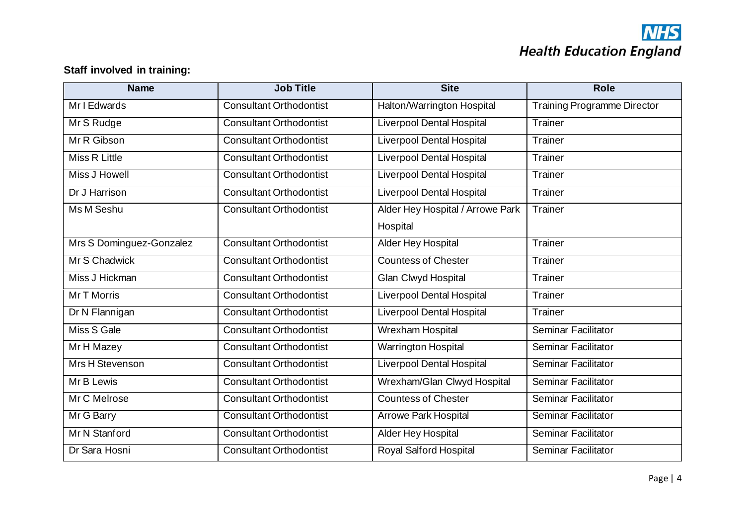# **NHS**<br>Health Education England

# **Staff involved in training:**

| <b>Name</b>              | <b>Job Title</b>               | <b>Site</b>                      | <b>Role</b>                        |  |
|--------------------------|--------------------------------|----------------------------------|------------------------------------|--|
| Mr I Edwards             | <b>Consultant Orthodontist</b> | Halton/Warrington Hospital       | <b>Training Programme Director</b> |  |
| Mr S Rudge               | <b>Consultant Orthodontist</b> | <b>Liverpool Dental Hospital</b> | Trainer                            |  |
| Mr R Gibson              | <b>Consultant Orthodontist</b> | <b>Liverpool Dental Hospital</b> | Trainer                            |  |
| Miss R Little            | <b>Consultant Orthodontist</b> | <b>Liverpool Dental Hospital</b> | Trainer                            |  |
| <b>Miss J Howell</b>     | <b>Consultant Orthodontist</b> | <b>Liverpool Dental Hospital</b> | Trainer                            |  |
| Dr J Harrison            | <b>Consultant Orthodontist</b> | <b>Liverpool Dental Hospital</b> | Trainer                            |  |
| Ms M Seshu               | <b>Consultant Orthodontist</b> | Alder Hey Hospital / Arrowe Park | Trainer                            |  |
|                          |                                | Hospital                         |                                    |  |
| Mrs S Dominguez-Gonzalez | <b>Consultant Orthodontist</b> | Alder Hey Hospital               | Trainer                            |  |
| Mr S Chadwick            | <b>Consultant Orthodontist</b> | <b>Countess of Chester</b>       | Trainer                            |  |
| Miss J Hickman           | <b>Consultant Orthodontist</b> | Glan Clwyd Hospital              | Trainer                            |  |
| Mr T Morris              | <b>Consultant Orthodontist</b> | Liverpool Dental Hospital        | Trainer                            |  |
| Dr N Flannigan           | <b>Consultant Orthodontist</b> | <b>Liverpool Dental Hospital</b> | Trainer                            |  |
| Miss S Gale              | <b>Consultant Orthodontist</b> | Wrexham Hospital                 | Seminar Facilitator                |  |
| Mr H Mazey               | <b>Consultant Orthodontist</b> | <b>Warrington Hospital</b>       | Seminar Facilitator                |  |
| Mrs H Stevenson          | <b>Consultant Orthodontist</b> | <b>Liverpool Dental Hospital</b> | <b>Seminar Facilitator</b>         |  |
| Mr B Lewis               | <b>Consultant Orthodontist</b> | Wrexham/Glan Clwyd Hospital      | Seminar Facilitator                |  |
| Mr C Melrose             | <b>Consultant Orthodontist</b> | <b>Countess of Chester</b>       | Seminar Facilitator                |  |
| Mr G Barry               | <b>Consultant Orthodontist</b> | <b>Arrowe Park Hospital</b>      | Seminar Facilitator                |  |
| Mr N Stanford            | <b>Consultant Orthodontist</b> | Alder Hey Hospital               | Seminar Facilitator                |  |
| Dr Sara Hosni            | <b>Consultant Orthodontist</b> | Royal Salford Hospital           | <b>Seminar Facilitator</b>         |  |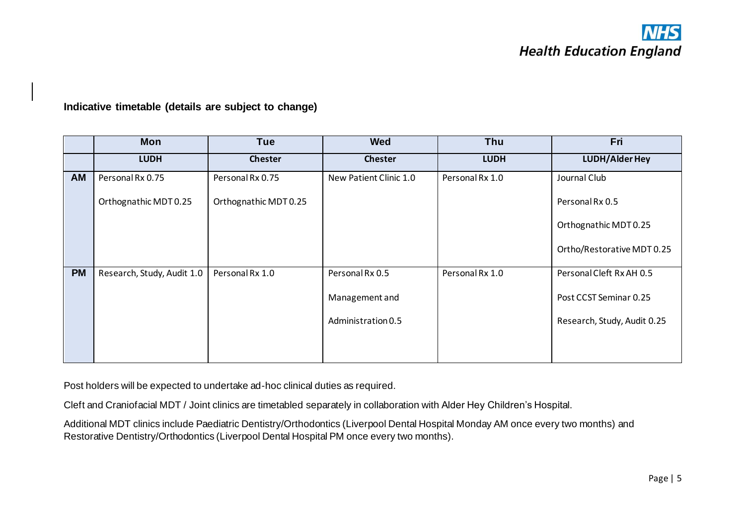**Indicative timetable (details are subject to change)**

|           | <b>Mon</b>                 | <b>Tue</b>            | <b>Wed</b>             | Thu             | Fri                         |
|-----------|----------------------------|-----------------------|------------------------|-----------------|-----------------------------|
|           | <b>LUDH</b>                | <b>Chester</b>        | <b>Chester</b>         | <b>LUDH</b>     | <b>LUDH/Alder Hey</b>       |
| AM        | Personal Rx 0.75           | Personal Rx 0.75      | New Patient Clinic 1.0 | Personal Rx 1.0 | Journal Club                |
|           | Orthognathic MDT 0.25      | Orthognathic MDT 0.25 |                        |                 | Personal Rx 0.5             |
|           |                            |                       |                        |                 | Orthognathic MDT 0.25       |
|           |                            |                       |                        |                 | Ortho/Restorative MDT 0.25  |
| <b>PM</b> | Research, Study, Audit 1.0 | Personal Rx 1.0       | Personal Rx 0.5        | Personal Rx 1.0 | Personal Cleft Rx AH 0.5    |
|           |                            |                       | Management and         |                 | Post CCST Seminar 0.25      |
|           |                            |                       | Administration 0.5     |                 | Research, Study, Audit 0.25 |
|           |                            |                       |                        |                 |                             |

Post holders will be expected to undertake ad-hoc clinical duties as required.

Cleft and Craniofacial MDT / Joint clinics are timetabled separately in collaboration with Alder Hey Children's Hospital.

Additional MDT clinics include Paediatric Dentistry/Orthodontics (Liverpool Dental Hospital Monday AM once every two months) and Restorative Dentistry/Orthodontics (Liverpool Dental Hospital PM once every two months).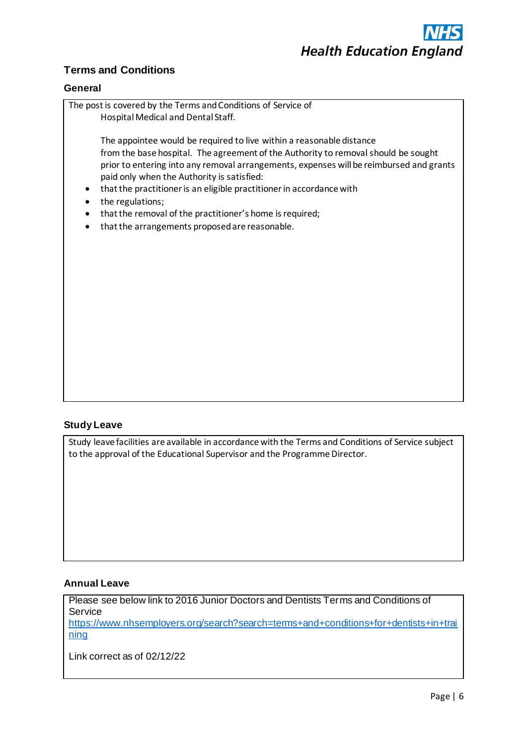

# **Terms and Conditions**

#### **General**



#### **Study Leave**

Study leave facilities are available in accordance with the Terms and Conditions of Service subject to the approval of the Educational Supervisor and the Programme Director.

#### **Annual Leave**

Please see below link to 2016 Junior Doctors and Dentists Terms and Conditions of Service [https://www.nhsemployers.org/search?search=terms+and+conditions+for+dentists+in+trai](https://www.nhsemployers.org/search?search=terms+and+conditions+for+dentists+in+training) [ning](https://www.nhsemployers.org/search?search=terms+and+conditions+for+dentists+in+training)

Link correct as of 02/12/22